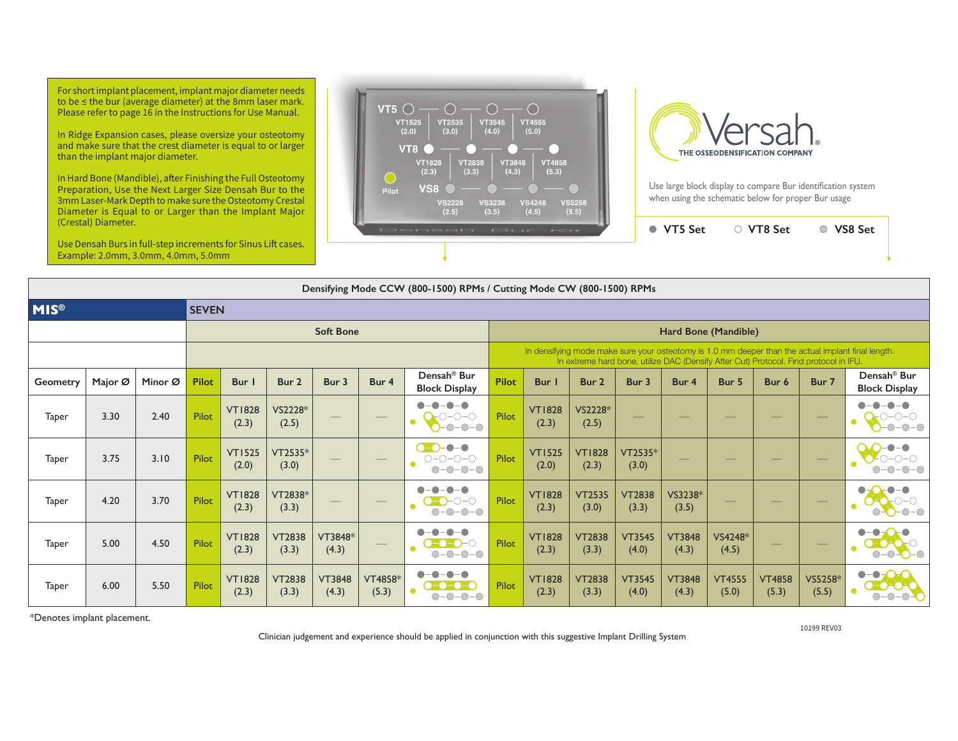For short implant placement, implant major diameter needs to be ≤ the bur (average diameter) at the 8mm laser mark. Please refer to page 16 in the Instructions for Use Manual.

In Ridge Expansion cases, please oversize your osteotomy and make sure that the crest diameter is equal to or larger than the implant major diameter.

In Hard Bone (Mandible), after Finishing the Full Osteotomy Preparation, Use the Next Larger Size Densah Bur to the 3mm Laser-Mark Depth to make sure the Osteotomy Crestal Diameter is Equal to or Larger than the Implant Major (Crestal) Diameter.

Use Densah Burs in full-step increments for Sinus Lift cases. Example: 2.0mm, 3.0mm, 4.0mm, 5.0mm





Use large block display to compare Bur identification system when using the schematic below for proper Bur usage

**VT5 Set VT8 Set VS8 Set**

| Densifying Mode CCW (800-1500) RPMs / Cutting Mode CW (800-1500) RPMs |              |         |              |                        |                        |                                                                                                                                                                                                                                                                                                                                                                                                                                                                            |                          |                                                                          |                                                                                                                                                                                             |                        |                        |                        |                        |                          |                          |                   |                                                 |  |  |  |  |
|-----------------------------------------------------------------------|--------------|---------|--------------|------------------------|------------------------|----------------------------------------------------------------------------------------------------------------------------------------------------------------------------------------------------------------------------------------------------------------------------------------------------------------------------------------------------------------------------------------------------------------------------------------------------------------------------|--------------------------|--------------------------------------------------------------------------|---------------------------------------------------------------------------------------------------------------------------------------------------------------------------------------------|------------------------|------------------------|------------------------|------------------------|--------------------------|--------------------------|-------------------|-------------------------------------------------|--|--|--|--|
| <b>MIS®</b>                                                           | <b>SEVEN</b> |         |              |                        |                        |                                                                                                                                                                                                                                                                                                                                                                                                                                                                            |                          |                                                                          |                                                                                                                                                                                             |                        |                        |                        |                        |                          |                          |                   |                                                 |  |  |  |  |
|                                                                       |              |         |              | <b>Soft Bone</b>       |                        |                                                                                                                                                                                                                                                                                                                                                                                                                                                                            | Hard Bone (Mandible)     |                                                                          |                                                                                                                                                                                             |                        |                        |                        |                        |                          |                          |                   |                                                 |  |  |  |  |
|                                                                       |              |         |              |                        |                        |                                                                                                                                                                                                                                                                                                                                                                                                                                                                            |                          |                                                                          | In densifying mode make sure your osteotomy is 1.0 mm deeper than the actual implant final length.<br>In extreme hard bone, utilize DAC (Densify After Cut) Protocol. Find protocol in IFU. |                        |                        |                        |                        |                          |                          |                   |                                                 |  |  |  |  |
| Geometry                                                              | Major Ø      | Minor Ø | <b>Pilot</b> | Bur I                  | Bur <sub>2</sub>       | Bur 3                                                                                                                                                                                                                                                                                                                                                                                                                                                                      | Bur 4                    | Densah <sup>®</sup> Bur<br><b>Block Display</b>                          | <b>Pilot</b>                                                                                                                                                                                | Bur                    | Bur <sub>2</sub>       | Bur 3                  | Bur 4                  | Bur 5                    | Bur 6                    | Bur 7             | Densah <sup>®</sup> Bur<br><b>Block Display</b> |  |  |  |  |
| Taper                                                                 | 3.30         | 2.40    | Pilot        | <b>VT1828</b><br>(2.3) | VS2228*<br>(2.5)       | $\frac{1}{2} \left( \frac{1}{2} \right) \left( \frac{1}{2} \right) \left( \frac{1}{2} \right) \left( \frac{1}{2} \right) \left( \frac{1}{2} \right) \left( \frac{1}{2} \right) \left( \frac{1}{2} \right) \left( \frac{1}{2} \right) \left( \frac{1}{2} \right) \left( \frac{1}{2} \right) \left( \frac{1}{2} \right) \left( \frac{1}{2} \right) \left( \frac{1}{2} \right) \left( \frac{1}{2} \right) \left( \frac{1}{2} \right) \left( \frac{1}{2} \right) \left( \frac$ | $\overline{\phantom{m}}$ | $-\bullet$<br>D-0-0<br>$-0-0-0$                                          | Pilot                                                                                                                                                                                       | <b>VT1828</b><br>(2.3) | VS2228*<br>(2.5)       | $\qquad \qquad -$      | $\qquad \qquad -$      | $\qquad \qquad -$        | $\qquad \qquad -$        | $\qquad \qquad -$ | ---<br>$-0-0-0$                                 |  |  |  |  |
| Taper                                                                 | 3.75         | 3.10    | Pilot        | <b>VT1525</b><br>(2.0) | VT2535*<br>(3.0)       |                                                                                                                                                                                                                                                                                                                                                                                                                                                                            | $\qquad \qquad - \qquad$ | -0-0<br>0-0-<br>$O-O-O-O$<br>$O-O-O-O-O$                                 | Pilot                                                                                                                                                                                       | <b>VT1525</b><br>(2.0) | <b>VT1828</b><br>(2.3) | VT2535*<br>(3.0)       |                        | $\qquad \qquad - \qquad$ | $\qquad \qquad - \qquad$ | $\qquad \qquad -$ | $O-O-O-O$                                       |  |  |  |  |
| Taper                                                                 | 4.20         | 3.70    | Pilot        | <b>VT1828</b><br>(2.3) | VT2838*<br>(3.3)       |                                                                                                                                                                                                                                                                                                                                                                                                                                                                            | $\hspace{0.05cm}$        | $\bullet$ - $\bullet$<br>$O-O-O-$<br>$O-O-O-O$                           | Pilot                                                                                                                                                                                       | <b>VT1828</b><br>(2.3) | <b>VT2535</b><br>(3.0) | <b>VT2838</b><br>(3.3) | VS3238*<br>(3.5)       | $\qquad \qquad - \qquad$ |                          |                   | $-0-0$                                          |  |  |  |  |
| Taper                                                                 | 5.00         | 4.50    | Pilot        | <b>VT1828</b><br>(2.3) | <b>VT2838</b><br>(3.3) | VT3848*<br>(4.3)                                                                                                                                                                                                                                                                                                                                                                                                                                                           | $\hspace{0.1cm} -$       | $\bullet$ - $\bullet$<br>$- - - -$<br>$O-O-O-O$                          | Pilot                                                                                                                                                                                       | <b>VT1828</b><br>(2.3) | <b>VT2838</b><br>(3.3) | <b>VT3545</b><br>(4.0) | <b>VT3848</b><br>(4.3) | VS4248*<br>(4.5)         | $\qquad \qquad - \qquad$ |                   | $\bullet$<br>$O-O-O-O$                          |  |  |  |  |
| Taper                                                                 | 6.00         | 5.50    | Pilot        | <b>VT1828</b><br>(2.3) | <b>VT2838</b><br>(3.3) | <b>VT3848</b><br>(4.3)                                                                                                                                                                                                                                                                                                                                                                                                                                                     | VT4858*<br>(5.3)         | -0-0<br>-0<br>$\bullet$ - $\bullet$ - $\bullet$ - $\bullet$<br>$O-O-O-O$ | Pilot                                                                                                                                                                                       | <b>VT1828</b><br>(2.3) | <b>VT2838</b><br>(3.3) | <b>VT3545</b><br>(4.0) | <b>VT3848</b><br>(4.3) | <b>VT4555</b><br>(5.0)   | <b>VT4858</b><br>(5.3)   | VS5258*<br>(5.5)  | $\bullet$ - $\bullet$ -<br>D-OAOA<br>$O-O-O-O$  |  |  |  |  |

\*Denotes implant placement.

10199 REV03

Clinician judgement and experience should be applied in conjunction with this suggestive Implant Drilling System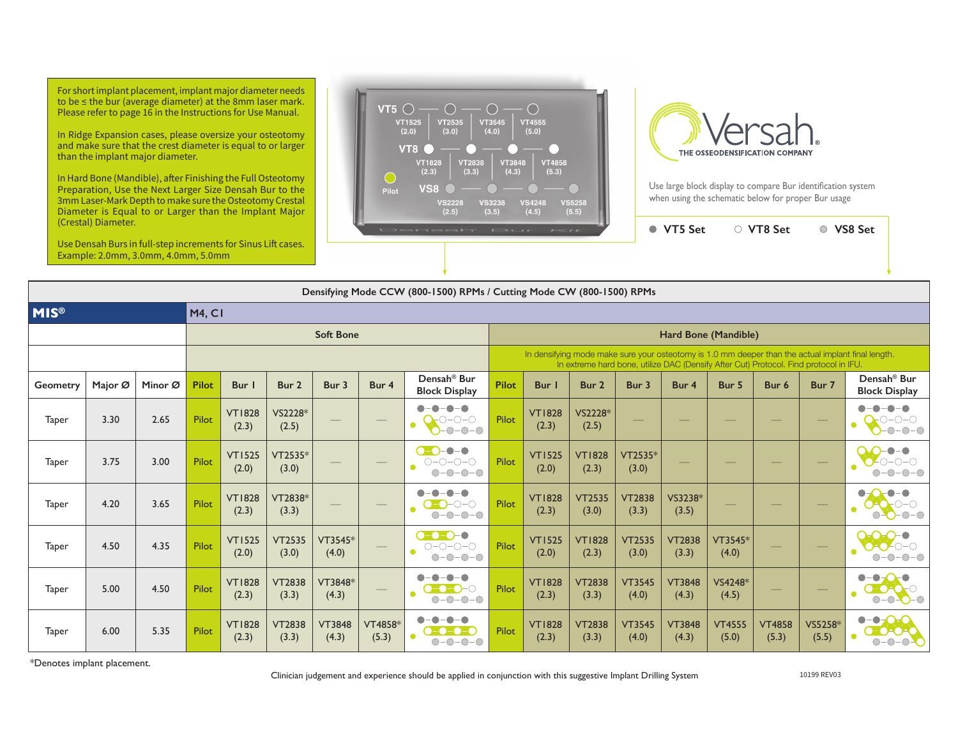For short implant placement, implant major diameter needs to be ≤ the bur (average diameter) at the 8mm laser mark. Please refer to page 16 in the Instructions for Use Manual.

In Ridge Expansion cases, please oversize your osteotomy and make sure that the crest diameter is equal to or larger than the implant major diameter.

In Hard Bone (Mandible), after Finishing the Full Osteotomy Preparation, Use the Next Larger Size Densah Bur to the 3mm Laser-Mark Depth to make sure the Osteotomy Crestal Diameter is Equal to or Larger than the Implant Major (Crestal) Diameter.

Use Densah Burs in full-step increments for Sinus Lift cases. Example: 2.0mm, 3.0mm, 4.0mm, 5.0mm





Use large block display to compare Bur identification system when using the schematic below for proper Bur usage

**VT5 Set VT8 Set VS8 Set**

| Densifying Mode CCW (800-1500) RPMs / Cutting Mode CW (800-1500) RPMs |         |         |                  |                        |                        |                                 |                          |                                                 |                                                                                                                                                                                             |                        |                        |                        |                        |                          |                        |                          |                                                          |  |  |  |
|-----------------------------------------------------------------------|---------|---------|------------------|------------------------|------------------------|---------------------------------|--------------------------|-------------------------------------------------|---------------------------------------------------------------------------------------------------------------------------------------------------------------------------------------------|------------------------|------------------------|------------------------|------------------------|--------------------------|------------------------|--------------------------|----------------------------------------------------------|--|--|--|
| <b>MIS®</b>                                                           |         |         | <b>M4, CI</b>    |                        |                        |                                 |                          |                                                 |                                                                                                                                                                                             |                        |                        |                        |                        |                          |                        |                          |                                                          |  |  |  |
|                                                                       |         |         | <b>Soft Bone</b> |                        |                        |                                 |                          |                                                 |                                                                                                                                                                                             | Hard Bone (Mandible)   |                        |                        |                        |                          |                        |                          |                                                          |  |  |  |
|                                                                       |         |         |                  |                        |                        |                                 |                          |                                                 | In densifying mode make sure your osteotomy is 1.0 mm deeper than the actual implant final length.<br>In extreme hard bone, utilize DAC (Densify After Cut) Protocol. Find protocol in IFU. |                        |                        |                        |                        |                          |                        |                          |                                                          |  |  |  |
| Geometry                                                              | Major Ø | Minor Ø | <b>Pilot</b>     | Bur                    | Bur 2                  | Bur 3                           | Bur 4                    | Densah <sup>®</sup> Bur<br><b>Block Display</b> | Pilot                                                                                                                                                                                       | Bur                    | Bur 2                  | Bur 3                  | Bur 4                  | Bur 5                    | Bur 6                  | Bur 7                    | Densah <sup>®</sup> Bur<br><b>Block Display</b>          |  |  |  |
| Taper                                                                 | 3.30    | 2.65    | Pilot            | <b>VT1828</b><br>(2.3) | VS2228*<br>(2.5)       | $\hspace{0.1mm}-\hspace{0.1mm}$ |                          | -0-0-0<br>$ O$ - $O$ - $O$<br>$-0 - 0 - 0$      | Pilot                                                                                                                                                                                       | <b>VT1828</b><br>(2.3) | VS2228*<br>(2.5)       | --                     |                        |                          |                        | $\overline{\phantom{0}}$ | -0-0-0<br>$O-O-O$                                        |  |  |  |
| Taper                                                                 | 3.75    | 3.00    | Pilot            | <b>VT1525</b><br>(2.0) | VT2535*<br>(3.0)       |                                 | __                       | <b>CEO-0-0</b><br>0-0-0<br>$O-O-O-O$            | Pilot                                                                                                                                                                                       | <b>VT1525</b><br>(2.0) | <b>VT1828</b><br>(2.3) | $VT2535*$<br>(3.0)     | __                     |                          | _                      | $\overline{\phantom{0}}$ | $-0-0-0$                                                 |  |  |  |
| Taper                                                                 | 4.20    | 3.65    | <b>Pilot</b>     | <b>VT1828</b><br>(2.3) | VT2838*<br>(3.3)       | $\overbrace{\hspace{25mm}}^{}$  | $\overline{\phantom{m}}$ | -0-0<br>$O-O-O-$<br>$O-O-O-O$                   | <b>Pilot</b>                                                                                                                                                                                | <b>VT1828</b><br>(2.3) | <b>VT2535</b><br>(3.0) | <b>VT2838</b><br>(3.3) | VS3238*<br>(3.5)       | $\overline{\phantom{m}}$ | $\qquad \qquad -$      |                          | $O-O-O-O$                                                |  |  |  |
| Taper                                                                 | 4.50    | 4.35    | Pilot            | <b>VT1525</b><br>(2.0) | <b>VT2535</b><br>(3.0) | VT3545*<br>(4.0)                | $\overline{\phantom{m}}$ | $\bullet$ -0-0-0<br>$O-O-O-O$<br>$O-O-O-O$      | Pilot                                                                                                                                                                                       | <b>VT1525</b><br>(2.0) | <b>VT1828</b><br>(2.3) | <b>VT2535</b><br>(3.0) | <b>VT2838</b><br>(3.3) | VT3545*<br>(4.0)         | $\qquad \qquad -$      |                          | $O-O-O-O$                                                |  |  |  |
| Taper                                                                 | 5.00    | 4.50    | Pilot            | <b>VT1828</b><br>(2.3) | <b>VT2838</b><br>(3.3) | VT3848*<br>(4.3)                | $\overline{\phantom{0}}$ | -0-0<br>-0<br>$O = 0 - 0$<br>$O-O-O-O$          | Pilot                                                                                                                                                                                       | <b>VT1828</b><br>(2.3) | <b>VT2838</b><br>(3.3) | <b>VT3545</b><br>(4.0) | <b>VT3848</b><br>(4.3) | VS4248*<br>(4.5)         |                        | $\overline{\phantom{0}}$ | $\bullet-\bullet$<br>$O-O$ $O-O$                         |  |  |  |
| Taper                                                                 | 6.00    | 5.35    | Pilot            | <b>VT1828</b><br>(2.3) | <b>VT2838</b><br>(3.3) | <b>VT3848</b><br>(4.3)          | VT4858*<br>(5.3)         | -0-0-0<br><b>C-C-C-C</b><br>$O-O-O-O$           | <b>Pilot</b>                                                                                                                                                                                | <b>VT1828</b><br>(2.3) | <b>VT2838</b><br>(3.3) | <b>VT3545</b><br>(4.0) | <b>VT3848</b><br>(4.3) | <b>VT4555</b><br>(5.0)   | <b>VT4858</b><br>(5.3) | VS5258*<br>(5.5)         | $\bullet$ - $\bullet$ - $\bullet$<br>O-OAOA<br>$O-O-O-O$ |  |  |  |

\*Denotes implant placement.

Clinician judgement and experience should be applied in conjunction with this suggestive Implant Drilling System 10199 REV03